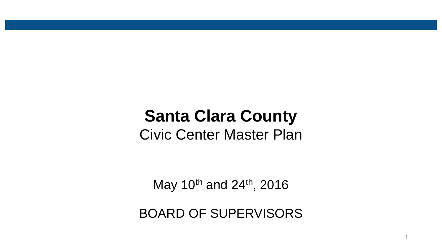# **Santa Clara County**  Civic Center Master Plan

May 10<sup>th</sup> and 24<sup>th</sup>, 2016

BOARD OF SUPERVISORS

1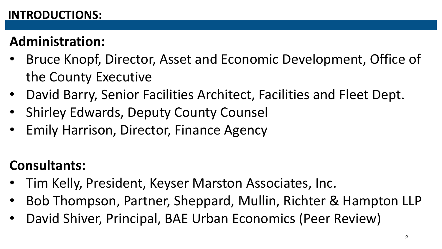#### **INTRODUCTIONS:**

## **Administration:**

- Bruce Knopf, Director, Asset and Economic Development, Office of the County Executive
- David Barry, Senior Facilities Architect, Facilities and Fleet Dept.
- Shirley Edwards, Deputy County Counsel
- Emily Harrison, Director, Finance Agency

## **Consultants:**

- Tim Kelly, President, Keyser Marston Associates, Inc.
- Bob Thompson, Partner, Sheppard, Mullin, Richter & Hampton LLP
- David Shiver, Principal, BAE Urban Economics (Peer Review)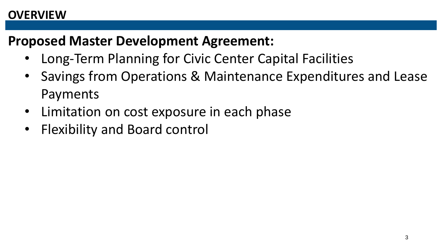#### **OVERVIEW**

### **Proposed Master Development Agreement:**

- Long-Term Planning for Civic Center Capital Facilities
- Savings from Operations & Maintenance Expenditures and Lease Payments
- Limitation on cost exposure in each phase
- Flexibility and Board control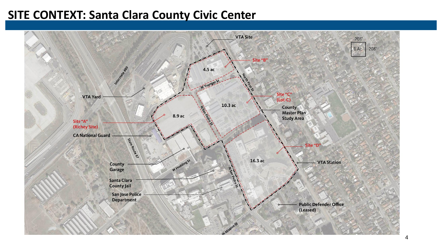#### **SITE CONTEXT: Santa Clara County Civic Center**

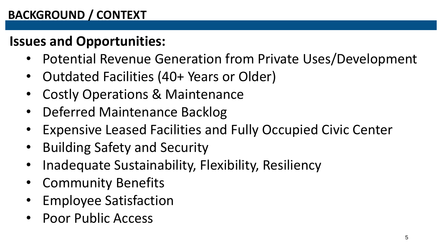### **BACKGROUND / CONTEXT**

### **Issues and Opportunities:**

- Potential Revenue Generation from Private Uses/Development
- Outdated Facilities (40+ Years or Older)
- Costly Operations & Maintenance
- Deferred Maintenance Backlog
- Expensive Leased Facilities and Fully Occupied Civic Center
- Building Safety and Security
- Inadequate Sustainability, Flexibility, Resiliency
- Community Benefits
- Employee Satisfaction
- Poor Public Access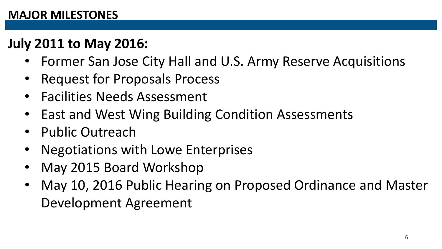## **July 2011 to May 2016:**

- Former San Jose City Hall and U.S. Army Reserve Acquisitions
- Request for Proposals Process
- Facilities Needs Assessment
- East and West Wing Building Condition Assessments
- Public Outreach
- Negotiations with Lowe Enterprises
- May 2015 Board Workshop
- May 10, 2016 Public Hearing on Proposed Ordinance and Master Development Agreement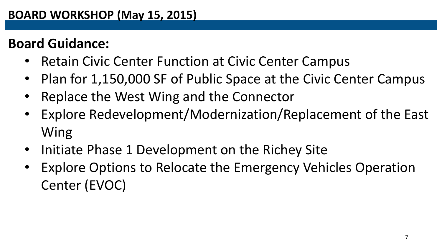### **Board Guidance:**

- Retain Civic Center Function at Civic Center Campus
- Plan for 1,150,000 SF of Public Space at the Civic Center Campus
- Replace the West Wing and the Connector
- Explore Redevelopment/Modernization/Replacement of the East Wing
- Initiate Phase 1 Development on the Richey Site
- Explore Options to Relocate the Emergency Vehicles Operation Center (EVOC)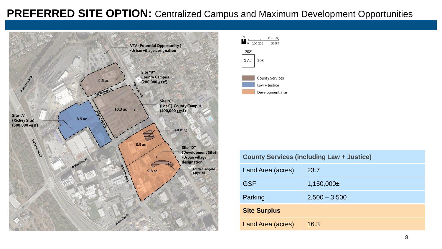#### **PREFERRED SITE OPTION:** Centralized Campus and Maximum Development Opportunities





| <b>County Services (including Law + Justice)</b> |                 |
|--------------------------------------------------|-----------------|
| Land Area (acres)                                | 23.7            |
| <b>GSF</b>                                       | $1,150,000 \pm$ |
| Parking                                          | $2,500 - 3,500$ |
| <b>Site Surplus</b>                              |                 |
| Land Area (acres)                                | 16.3            |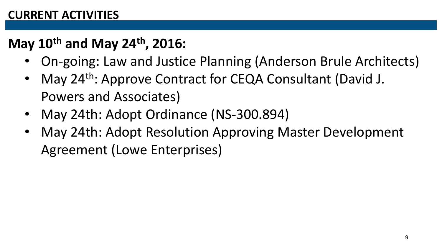#### **CURRENT ACTIVITIES**

## **May 10th and May 24th, 2016:**

- On-going: Law and Justice Planning (Anderson Brule Architects)
- May 24<sup>th</sup>: Approve Contract for CEQA Consultant (David J. Powers and Associates)
- May 24th: Adopt Ordinance (NS-300.894)
- May 24th: Adopt Resolution Approving Master Development Agreement (Lowe Enterprises)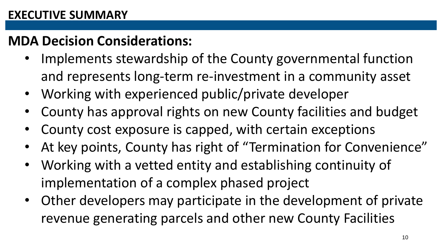### **MDA Decision Considerations:**

- Implements stewardship of the County governmental function and represents long-term re-investment in a community asset
- Working with experienced public/private developer
- County has approval rights on new County facilities and budget
- County cost exposure is capped, with certain exceptions
- At key points, County has right of "Termination for Convenience"
- Working with a vetted entity and establishing continuity of implementation of a complex phased project
- Other developers may participate in the development of private revenue generating parcels and other new County Facilities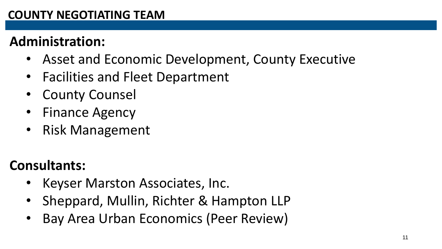### **COUNTY NEGOTIATING TEAM**

### **Administration:**

- Asset and Economic Development, County Executive
- Facilities and Fleet Department
- **County Counsel**
- Finance Agency
- Risk Management

## **Consultants:**

- Keyser Marston Associates, Inc.
- Sheppard, Mullin, Richter & Hampton LLP
- Bay Area Urban Economics (Peer Review)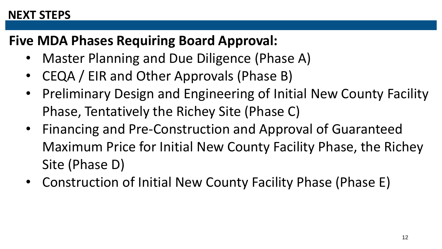#### **NEXT STEPS**

### **Five MDA Phases Requiring Board Approval:**

- Master Planning and Due Diligence (Phase A)
- CEQA / EIR and Other Approvals (Phase B)
- Preliminary Design and Engineering of Initial New County Facility Phase, Tentatively the Richey Site (Phase C)
- Financing and Pre-Construction and Approval of Guaranteed Maximum Price for Initial New County Facility Phase, the Richey Site (Phase D)
- Construction of Initial New County Facility Phase (Phase E)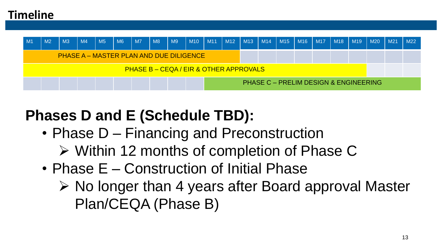#### **Timeline**



## **Phases D and E (Schedule TBD):**

- Phase D Financing and Preconstruction
	- Within 12 months of completion of Phase C
- Phase E Construction of Initial Phase
	- $\triangleright$  No longer than 4 years after Board approval Master Plan/CEQA (Phase B)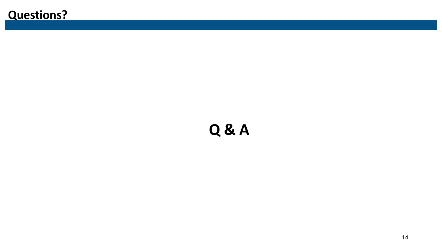### **Questions?**

# **Q & A**